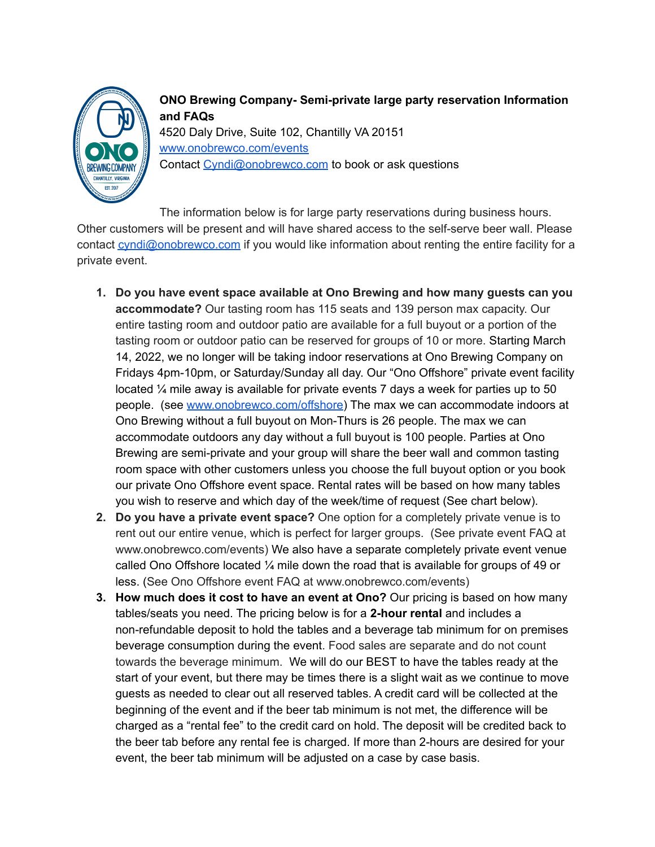

**ONO Brewing Company- Semi-private large party reservation Information and FAQs** 4520 Daly Drive, Suite 102, Chantilly VA 20151 [www.onobrewco.com/events](http://www.onobrewco.com/events) Contact [Cyndi@onobrewco.com](mailto:Cyndi@onobrewco.com) to book or ask questions

The information below is for large party reservations during business hours. Other customers will be present and will have shared access to the self-serve beer wall. Please contact [cyndi@onobrewco.com](mailto:cyndi@onobrewco.com) if you would like information about renting the entire facility for a private event.

- **1. Do you have event space available at Ono Brewing and how many guests can you accommodate?** Our tasting room has 115 seats and 139 person max capacity. Our entire tasting room and outdoor patio are available for a full buyout or a portion of the tasting room or outdoor patio can be reserved for groups of 10 or more. Starting March 14, 2022, we no longer will be taking indoor reservations at Ono Brewing Company on Fridays 4pm-10pm, or Saturday/Sunday all day. Our "Ono Offshore" private event facility located ¼ mile away is available for private events 7 days a week for parties up to 50 people. (see [www.onobrewco.com/offshore](http://www.onobrewco.com/offshore)) The max we can accommodate indoors at Ono Brewing without a full buyout on Mon-Thurs is 26 people. The max we can accommodate outdoors any day without a full buyout is 100 people. Parties at Ono Brewing are semi-private and your group will share the beer wall and common tasting room space with other customers unless you choose the full buyout option or you book our private Ono Offshore event space. Rental rates will be based on how many tables you wish to reserve and which day of the week/time of request (See chart below).
- **2. Do you have a private event space?** One option for a completely private venue is to rent out our entire venue, which is perfect for larger groups. (See private event FAQ at www.onobrewco.com/events) We also have a separate completely private event venue called Ono Offshore located  $\frac{1}{4}$  mile down the road that is available for groups of 49 or less. (See Ono Offshore event FAQ at www.onobrewco.com/events)
- **3. How much does it cost to have an event at Ono?** Our pricing is based on how many tables/seats you need. The pricing below is for a **2-hour rental** and includes a non-refundable deposit to hold the tables and a beverage tab minimum for on premises beverage consumption during the event. Food sales are separate and do not count towards the beverage minimum. We will do our BEST to have the tables ready at the start of your event, but there may be times there is a slight wait as we continue to move guests as needed to clear out all reserved tables. A credit card will be collected at the beginning of the event and if the beer tab minimum is not met, the difference will be charged as a "rental fee" to the credit card on hold. The deposit will be credited back to the beer tab before any rental fee is charged. If more than 2-hours are desired for your event, the beer tab minimum will be adjusted on a case by case basis.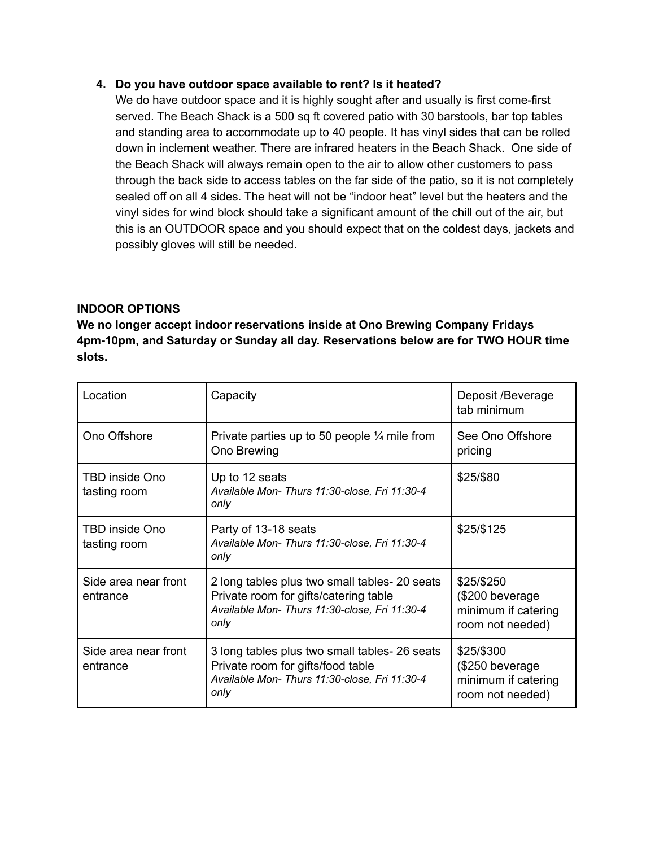## **4. Do you have outdoor space available to rent? Is it heated?**

We do have outdoor space and it is highly sought after and usually is first come-first served. The Beach Shack is a 500 sq ft covered patio with 30 barstools, bar top tables and standing area to accommodate up to 40 people. It has vinyl sides that can be rolled down in inclement weather. There are infrared heaters in the Beach Shack. One side of the Beach Shack will always remain open to the air to allow other customers to pass through the back side to access tables on the far side of the patio, so it is not completely sealed off on all 4 sides. The heat will not be "indoor heat" level but the heaters and the vinyl sides for wind block should take a significant amount of the chill out of the air, but this is an OUTDOOR space and you should expect that on the coldest days, jackets and possibly gloves will still be needed.

## **INDOOR OPTIONS**

**We no longer accept indoor reservations inside at Ono Brewing Company Fridays 4pm-10pm, and Saturday or Sunday all day. Reservations below are for TWO HOUR time slots.**

| Location                              | Capacity                                                                                                                                        | Deposit /Beverage<br>tab minimum                                          |
|---------------------------------------|-------------------------------------------------------------------------------------------------------------------------------------------------|---------------------------------------------------------------------------|
| Ono Offshore                          | Private parties up to 50 people $\frac{1}{4}$ mile from<br>Ono Brewing                                                                          | See Ono Offshore<br>pricing                                               |
| TBD inside Ono<br>tasting room        | Up to 12 seats<br>Available Mon- Thurs 11:30-close, Fri 11:30-4<br>only                                                                         | \$25/\$80                                                                 |
| <b>TBD inside Ono</b><br>tasting room | Party of 13-18 seats<br>Available Mon- Thurs 11:30-close, Fri 11:30-4<br>only                                                                   | \$25/\$125                                                                |
| Side area near front<br>entrance      | 2 long tables plus two small tables- 20 seats<br>Private room for gifts/catering table<br>Available Mon- Thurs 11:30-close, Fri 11:30-4<br>only | \$25/\$250<br>(\$200 beverage)<br>minimum if catering<br>room not needed) |
| Side area near front<br>entrance      | 3 long tables plus two small tables- 26 seats<br>Private room for gifts/food table<br>Available Mon- Thurs 11:30-close, Fri 11:30-4<br>only     | \$25/\$300<br>(\$250 beverage<br>minimum if catering<br>room not needed)  |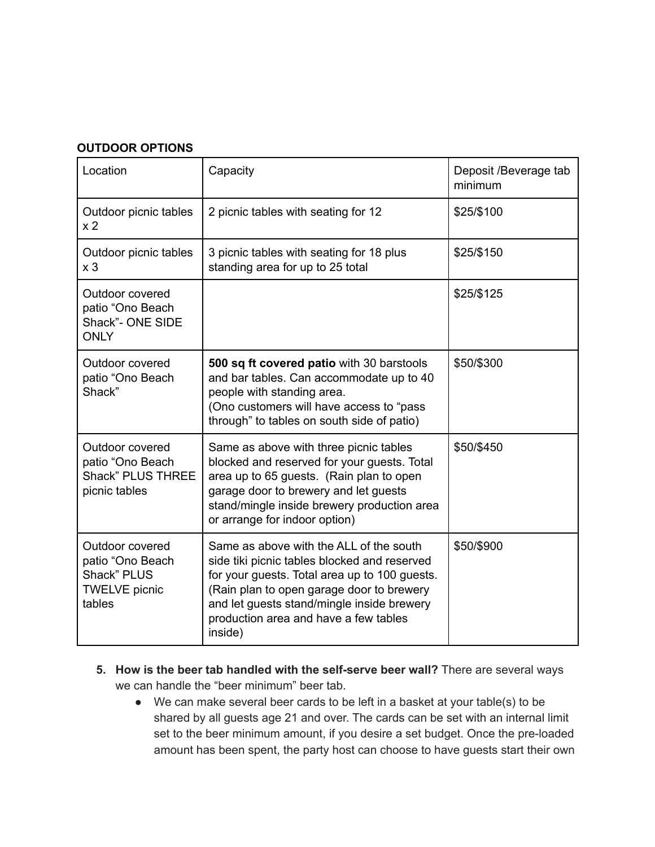## **OUTDOOR OPTIONS**

| Location                                                                             | Capacity                                                                                                                                                                                                                                                                                | Deposit /Beverage tab<br>minimum |
|--------------------------------------------------------------------------------------|-----------------------------------------------------------------------------------------------------------------------------------------------------------------------------------------------------------------------------------------------------------------------------------------|----------------------------------|
| Outdoor picnic tables<br>x <sub>2</sub>                                              | 2 picnic tables with seating for 12                                                                                                                                                                                                                                                     | \$25/\$100                       |
| Outdoor picnic tables<br>x <sub>3</sub>                                              | 3 picnic tables with seating for 18 plus<br>standing area for up to 25 total                                                                                                                                                                                                            | \$25/\$150                       |
| Outdoor covered<br>patio "Ono Beach<br>Shack"- ONE SIDE<br><b>ONLY</b>               |                                                                                                                                                                                                                                                                                         | \$25/\$125                       |
| Outdoor covered<br>patio "Ono Beach<br>Shack"                                        | 500 sq ft covered patio with 30 barstools<br>and bar tables. Can accommodate up to 40<br>people with standing area.<br>(Ono customers will have access to "pass"<br>through" to tables on south side of patio)                                                                          | \$50/\$300                       |
| Outdoor covered<br>patio "Ono Beach<br><b>Shack" PLUS THREE</b><br>picnic tables     | Same as above with three picnic tables<br>blocked and reserved for your guests. Total<br>area up to 65 guests. (Rain plan to open<br>garage door to brewery and let guests<br>stand/mingle inside brewery production area<br>or arrange for indoor option)                              | \$50/\$450                       |
| Outdoor covered<br>patio "Ono Beach<br>Shack" PLUS<br><b>TWELVE</b> picnic<br>tables | Same as above with the ALL of the south<br>side tiki picnic tables blocked and reserved<br>for your guests. Total area up to 100 guests.<br>(Rain plan to open garage door to brewery<br>and let guests stand/mingle inside brewery<br>production area and have a few tables<br>inside) | \$50/\$900                       |

- **5. How is the beer tab handled with the self-serve beer wall?** There are several ways we can handle the "beer minimum" beer tab.
	- We can make several beer cards to be left in a basket at your table(s) to be shared by all guests age 21 and over. The cards can be set with an internal limit set to the beer minimum amount, if you desire a set budget. Once the pre-loaded amount has been spent, the party host can choose to have guests start their own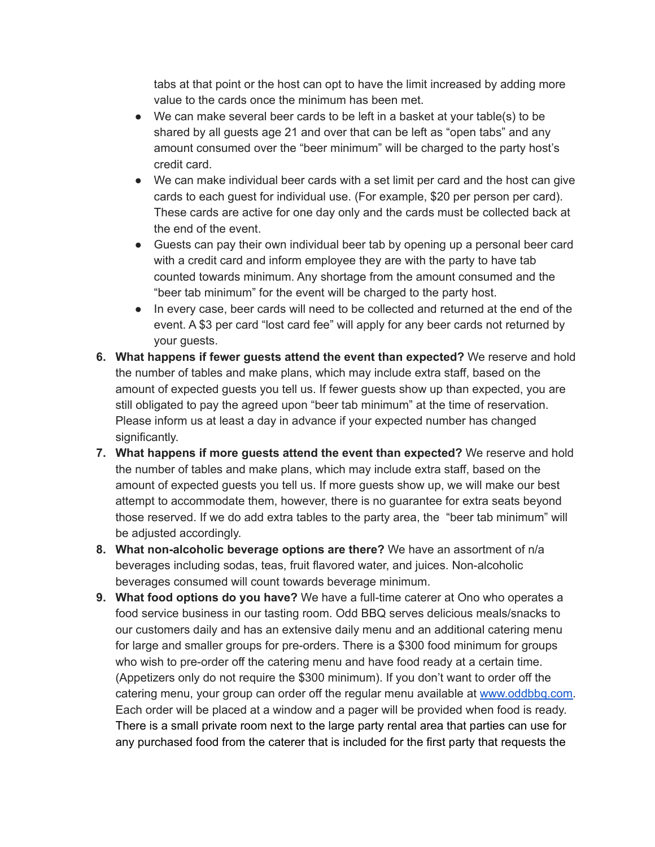tabs at that point or the host can opt to have the limit increased by adding more value to the cards once the minimum has been met.

- We can make several beer cards to be left in a basket at your table(s) to be shared by all guests age 21 and over that can be left as "open tabs" and any amount consumed over the "beer minimum" will be charged to the party host's credit card.
- We can make individual beer cards with a set limit per card and the host can give cards to each guest for individual use. (For example, \$20 per person per card). These cards are active for one day only and the cards must be collected back at the end of the event.
- Guests can pay their own individual beer tab by opening up a personal beer card with a credit card and inform employee they are with the party to have tab counted towards minimum. Any shortage from the amount consumed and the "beer tab minimum" for the event will be charged to the party host.
- In every case, beer cards will need to be collected and returned at the end of the event. A \$3 per card "lost card fee" will apply for any beer cards not returned by your guests.
- **6. What happens if fewer guests attend the event than expected?** We reserve and hold the number of tables and make plans, which may include extra staff, based on the amount of expected guests you tell us. If fewer guests show up than expected, you are still obligated to pay the agreed upon "beer tab minimum" at the time of reservation. Please inform us at least a day in advance if your expected number has changed significantly.
- **7. What happens if more guests attend the event than expected?** We reserve and hold the number of tables and make plans, which may include extra staff, based on the amount of expected guests you tell us. If more guests show up, we will make our best attempt to accommodate them, however, there is no guarantee for extra seats beyond those reserved. If we do add extra tables to the party area, the "beer tab minimum" will be adjusted accordingly.
- **8. What non-alcoholic beverage options are there?** We have an assortment of n/a beverages including sodas, teas, fruit flavored water, and juices. Non-alcoholic beverages consumed will count towards beverage minimum.
- **9. What food options do you have?** We have a full-time caterer at Ono who operates a food service business in our tasting room. Odd BBQ serves delicious meals/snacks to our customers daily and has an extensive daily menu and an additional catering menu for large and smaller groups for pre-orders. There is a \$300 food minimum for groups who wish to pre-order off the catering menu and have food ready at a certain time. (Appetizers only do not require the \$300 minimum). If you don't want to order off the catering menu, your group can order off the regular menu available at [www.oddbbq.com.](http://www.oddbbq.com) Each order will be placed at a window and a pager will be provided when food is ready. There is a small private room next to the large party rental area that parties can use for any purchased food from the caterer that is included for the first party that requests the